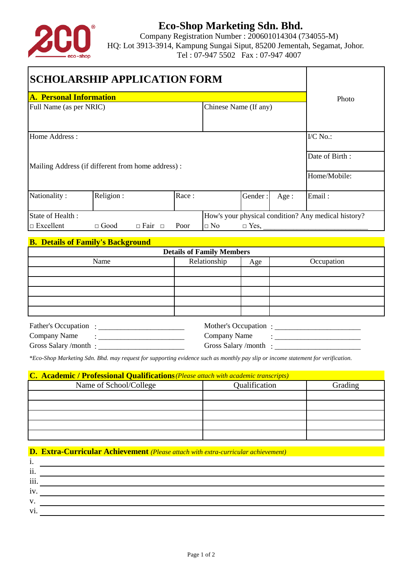

# **Eco-Shop Marketing Sdn. Bhd.**

Company Registration Number : 200601014304 (734055-M) HQ: Lot 3913-3914, Kampung Sungai Siput, 85200 Jementah, Segamat, Johor. Tel : 07-947 5502 Fax : 07-947 4007

| <b>SCHOLARSHIP APPLICATION FORM</b>                                     |                                          |                    |       |                       |             |      |            |
|-------------------------------------------------------------------------|------------------------------------------|--------------------|-------|-----------------------|-------------|------|------------|
| <b>A. Personal Information</b>                                          |                                          |                    |       |                       |             |      | Photo      |
| Full Name (as per NRIC)                                                 |                                          |                    |       | Chinese Name (If any) |             |      |            |
| Home Address:                                                           |                                          |                    |       |                       |             |      | I/C No.:   |
| Mailing Address (if different from home address) :                      |                                          |                    |       | Date of Birth:        |             |      |            |
|                                                                         |                                          |                    |       | Home/Mobile:          |             |      |            |
| Nationality:                                                            | Religion:                                |                    | Race: |                       | Gender:     | Age: | Email:     |
| State of Health:<br>How's your physical condition? Any medical history? |                                          |                    |       |                       |             |      |            |
| $\Box$ Excellent                                                        | $\Box$ Good                              | $\Box$ Fair $\Box$ | Poor  | $\Box$ No             | $\Box$ Yes, |      |            |
|                                                                         | <b>B. Details of Family's Background</b> |                    |       |                       |             |      |            |
| <b>Details of Family Members</b>                                        |                                          |                    |       |                       |             |      |            |
|                                                                         | Name                                     |                    |       | Relationship          | Age         |      | Occupation |
|                                                                         |                                          |                    |       |                       |             |      |            |
|                                                                         |                                          |                    |       |                       |             |      |            |
|                                                                         |                                          |                    |       |                       |             |      |            |
|                                                                         |                                          |                    |       |                       |             |      |            |

| <b>Father's Occupation</b> | Mother's Occupation: |  |
|----------------------------|----------------------|--|
| Company Name               | Company Name         |  |
| Gross Salary /month        | Gross Salary/month   |  |

*\*Eco-Shop Marketing Sdn. Bhd. may request for supporting evidence such as monthly pay slip or income statement for verification.*

### **C. Academic / Professional Qualifications***(Please attach with academic transcripts)*

| Name of School/College | Qualification | Grading |  |
|------------------------|---------------|---------|--|
|                        |               |         |  |
|                        |               |         |  |
|                        |               |         |  |
|                        |               |         |  |
|                        |               |         |  |

## **D. Extra-Curricular Achievement** *(Please attach with extra-curricular achievement)*

| .,                   |  |
|----------------------|--|
| $\cdot \cdot$<br>11. |  |
| $\cdots$<br>111.     |  |
| $\bullet$<br>1V.     |  |
| V.                   |  |
| $V1$ .               |  |
|                      |  |